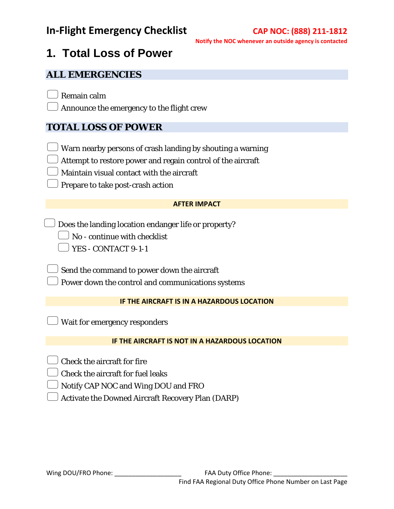## **1. Total Loss of Power**

#### **ALL EMERGENCIES**

Remain calm

Announce the emergency to the flight crew

## **TOTAL LOSS OF POWER**

Warn nearby persons of crash landing by shouting a warning

Attempt to restore power and regain control of the aircraft

Maintain visual contact with the aircraft

Prepare to take post-crash action

#### **AFTER IMPACT**

 $\Box$  Does the landing location endanger life or property?

 $\Box$  No - continue with checklist

YES - CONTACT 9-1-1

 $\bigcup$  Send the command to power down the aircraft

Power down the control and communications systems

#### **IF THE AIRCRAFT IS IN A HAZARDOUS LOCATION**

Wait for emergency responders

#### **IF THE AIRCRAFT IS NOT IN A HAZARDOUS LOCATION**

Check the aircraft for fire

Check the aircraft for fuel leaks

Notify CAP NOC and Wing DOU and FRO

Activate the Downed Aircraft Recovery Plan (DARP)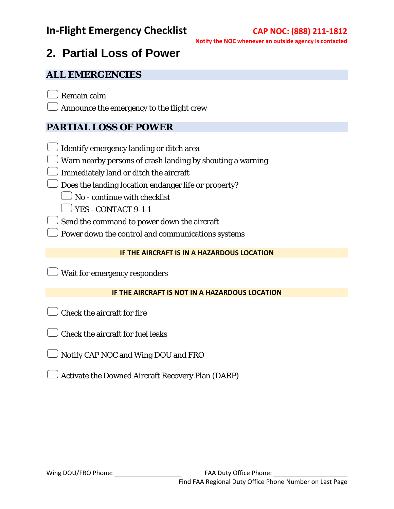# **2. Partial Loss of Power**

### **ALL EMERGENCIES**

Remain calm

Announce the emergency to the flight crew

## **PARTIAL LOSS OF POWER**

- Identify emergency landing or ditch area
- Warn nearby persons of crash landing by shouting a warning
- Immediately land or ditch the aircraft
- $\bigcup$  Does the landing location endanger life or property?
	- $\Box$  No continue with checklist
	- $\Box$  YES CONTACT 9-1-1
- Send the command to power down the aircraft
- Power down the control and communications systems

#### **IF THE AIRCRAFT IS IN A HAZARDOUS LOCATION**

Wait for emergency responders

#### **IF THE AIRCRAFT IS NOT IN A HAZARDOUS LOCATION**

- Check the aircraft for fire
- Check the aircraft for fuel leaks
- Notify CAP NOC and Wing DOU and FRO
- Activate the Downed Aircraft Recovery Plan (DARP)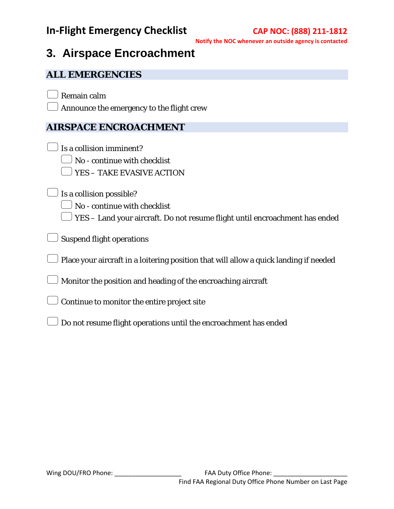## **3. Airspace Encroachment**

### **ALL EMERGENCIES**

Remain calm

Announce the emergency to the flight crew

## **AIRSPACE ENCROACHMENT**

|  |  | $\Box$ Is a collision imminent? |
|--|--|---------------------------------|
|  |  |                                 |

No - continue with checklist

YES – TAKE EVASIVE ACTION

 $\cup$  Is a collision possible?

 $\Box$  No - continue with checklist

 $\Box$  YES – Land your aircraft. Do not resume flight until encroachment has ended

 $\big)$  Suspend flight operations

 $\bigcup$  Place your aircraft in a loitering position that will allow a quick landing if needed

Monitor the position and heading of the encroaching aircraft

Continue to monitor the entire project site

Do not resume flight operations until the encroachment has ended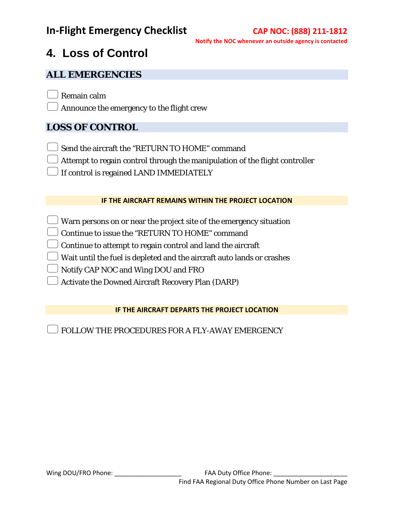# **4. Loss of Control**

### **ALL EMERGENCIES**

Remain calm

Announce the emergency to the flight crew

## **LOSS OF CONTROL**

- Send the aircraft the "RETURN TO HOME" command
- $\Box$  Attempt to regain control through the manipulation of the flight controller
- If control is regained LAND IMMEDIATELY

#### **IF THE AIRCRAFT REMAINS WITHIN THE PROJECT LOCATION**

- Warn persons on or near the project site of the emergency situation
- Continue to issue the "RETURN TO HOME" command
- $\cup$  Continue to attempt to regain control and land the aircraft
- Wait until the fuel is depleted and the aircraft auto lands or crashes
- Notify CAP NOC and Wing DOU and FRO
- Activate the Downed Aircraft Recovery Plan (DARP)

#### **IF THE AIRCRAFT DEPARTS THE PROJECT LOCATION**

FOLLOW THE PROCEDURES FOR A FLY-AWAY EMERGENCY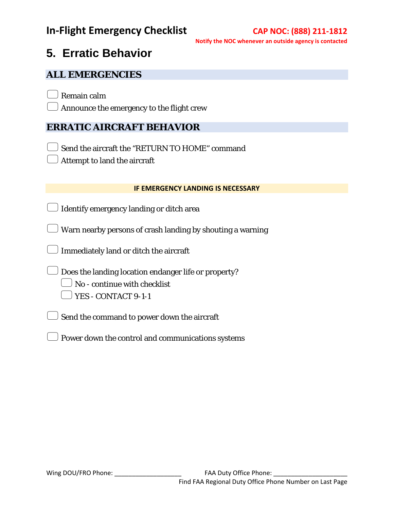# **5. Erratic Behavior**

### **ALL EMERGENCIES**

Remain calm

Announce the emergency to the flight crew

### **ERRATIC AIRCRAFT BEHAVIOR**

Send the aircraft the "RETURN TO HOME" command

Attempt to land the aircraft

#### **IF EMERGENCY LANDING IS NECESSARY**

Identify emergency landing or ditch area

 $\rm J$  Warn nearby persons of crash landing by shouting a warning

 $\bigcup$  Immediately land or ditch the aircraft

 $\bigcup$  Does the landing location endanger life or property?

- No continue with checklist
- YES CONTACT 9-1-1
- $\bigcup$  Send the command to power down the aircraft
- Power down the control and communications systems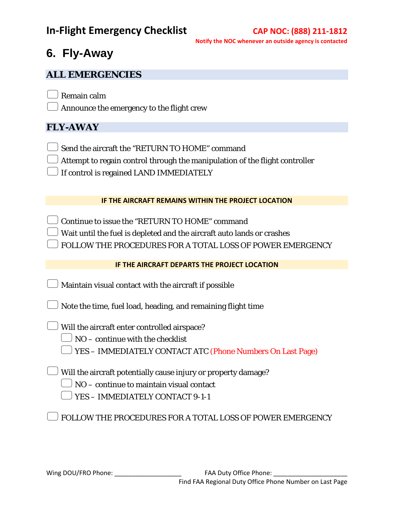## **6. Fly-Away**

### **ALL EMERGENCIES**

Remain calm

 $\Box$  Announce the emergency to the flight crew

## **FLY-AWAY**

- Send the aircraft the "RETURN TO HOME" command
- $\bigcup$  Attempt to regain control through the manipulation of the flight controller
- If control is regained LAND IMMEDIATELY

#### **IF THE AIRCRAFT REMAINS WITHIN THE PROJECT LOCATION**

- Continue to issue the "RETURN TO HOME" command
- Wait until the fuel is depleted and the aircraft auto lands or crashes
- FOLLOW THE PROCEDURES FOR A TOTAL LOSS OF POWER EMERGENCY

#### **IF THE AIRCRAFT DEPARTS THE PROJECT LOCATION**

- Maintain visual contact with the aircraft if possible
- $\Box$  Note the time, fuel load, heading, and remaining flight time
- $\Box$  Will the aircraft enter controlled airspace?
	- $\Box$  NO continue with the checklist
	- YES IMMEDIATELY CONTACT ATC (Phone Numbers On Last Page)
- $\Box$  Will the aircraft potentially cause injury or property damage?
	- $\Box$  NO continue to maintain visual contact
	- YES IMMEDIATELY CONTACT 9-1-1

FOLLOW THE PROCEDURES FOR A TOTAL LOSS OF POWER EMERGENCY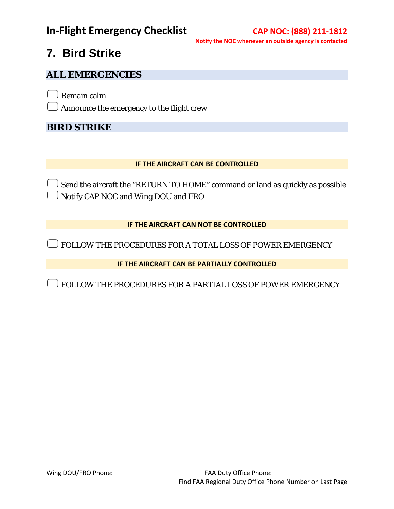# **7. Bird Strike**

### **ALL EMERGENCIES**

Remain calm

Announce the emergency to the flight crew

### **BIRD STRIKE**

#### **IF THE AIRCRAFT CAN BE CONTROLLED**

 $\rm J$  Send the aircraft the "RETURN TO HOME" command or land as quickly as possible Notify CAP NOC and Wing DOU and FRO

#### **IF THE AIRCRAFT CAN NOT BE CONTROLLED**

FOLLOW THE PROCEDURES FOR A TOTAL LOSS OF POWER EMERGENCY

**IF THE AIRCRAFT CAN BE PARTIALLY CONTROLLED**

FOLLOW THE PROCEDURES FOR A PARTIAL LOSS OF POWER EMERGENCY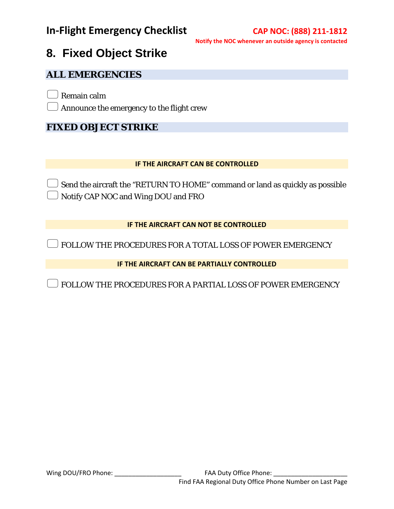# **8. Fixed Object Strike**

### **ALL EMERGENCIES**

Remain calm

Announce the emergency to the flight crew

### **FIXED OBJECT STRIKE**

#### **IF THE AIRCRAFT CAN BE CONTROLLED**

Send the aircraft the "RETURN TO HOME" command or land as quickly as possible Notify CAP NOC and Wing DOU and FRO

#### **IF THE AIRCRAFT CAN NOT BE CONTROLLED**

FOLLOW THE PROCEDURES FOR A TOTAL LOSS OF POWER EMERGENCY

**IF THE AIRCRAFT CAN BE PARTIALLY CONTROLLED**

FOLLOW THE PROCEDURES FOR A PARTIAL LOSS OF POWER EMERGENCY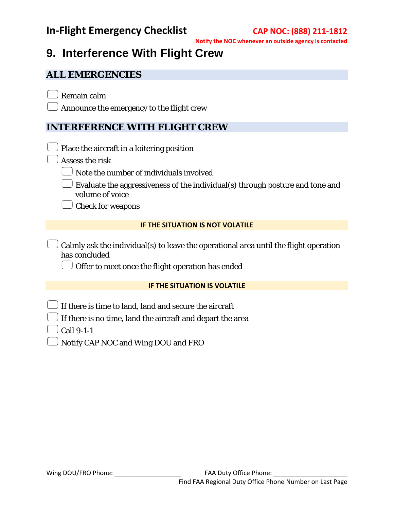# **9. Interference With Flight Crew**

#### **ALL EMERGENCIES**

Remain calm

Announce the emergency to the flight crew

### **INTERFERENCE WITH FLIGHT CREW**

- Place the aircraft in a loitering position
- Assess the risk
	- Note the number of individuals involved
	- Evaluate the aggressiveness of the individual(s) through posture and tone and volume of voice

Check for weapons

#### **IF THE SITUATION IS NOT VOLATILE**

 $\Box$  Calmly ask the individual(s) to leave the operational area until the flight operation has concluded

 $\Box$  Offer to meet once the flight operation has ended

#### **IF THE SITUATION IS VOLATILE**

- If there is time to land, land and secure the aircraft
	- If there is no time, land the aircraft and depart the area
	- Call 9-1-1
	- Notify CAP NOC and Wing DOU and FRO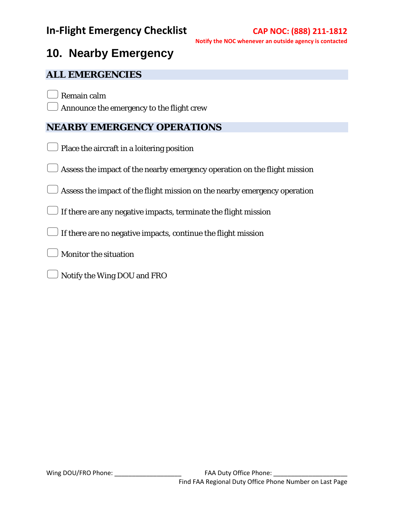# **10. Nearby Emergency**

### **ALL EMERGENCIES**

Remain calm

Announce the emergency to the flight crew

### **NEARBY EMERGENCY OPERATIONS**

- Place the aircraft in a loitering position
- Assess the impact of the nearby emergency operation on the flight mission
- Assess the impact of the flight mission on the nearby emergency operation
- $\Box$  If there are any negative impacts, terminate the flight mission
- $\Box$  If there are no negative impacts, continue the flight mission
- Monitor the situation
- Notify the Wing DOU and FRO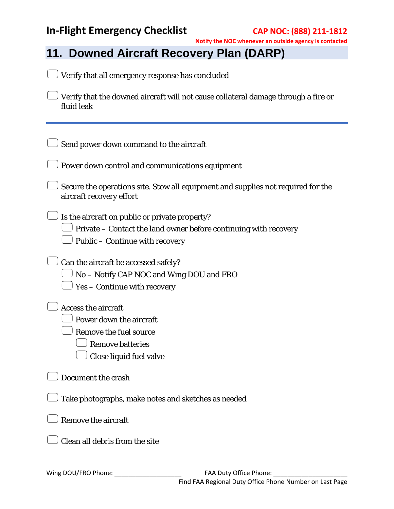| Notify the NOC whenever an outside agency is contact                                                                                                  |  |
|-------------------------------------------------------------------------------------------------------------------------------------------------------|--|
| 11. Downed Aircraft Recovery Plan (DARP)                                                                                                              |  |
| Verify that all emergency response has concluded                                                                                                      |  |
| Verify that the downed aircraft will not cause collateral damage through a fire or<br>fluid leak                                                      |  |
| Send power down command to the aircraft                                                                                                               |  |
| Power down control and communications equipment                                                                                                       |  |
| Secure the operations site. Stow all equipment and supplies not required for the<br>aircraft recovery effort                                          |  |
| Is the aircraft on public or private property?<br>Private - Contact the land owner before continuing with recovery<br>Public - Continue with recovery |  |
| Can the aircraft be accessed safely?<br>No - Notify CAP NOC and Wing DOU and FRO<br>Yes - Continue with recovery                                      |  |
| <b>Access the aircraft</b><br>Power down the aircraft<br>Remove the fuel source<br><b>Remove batteries</b><br>Close liquid fuel valve                 |  |
| Document the crash                                                                                                                                    |  |
| Take photographs, make notes and sketches as needed                                                                                                   |  |
| <b>Remove the aircraft</b>                                                                                                                            |  |
| Clean all debris from the site                                                                                                                        |  |